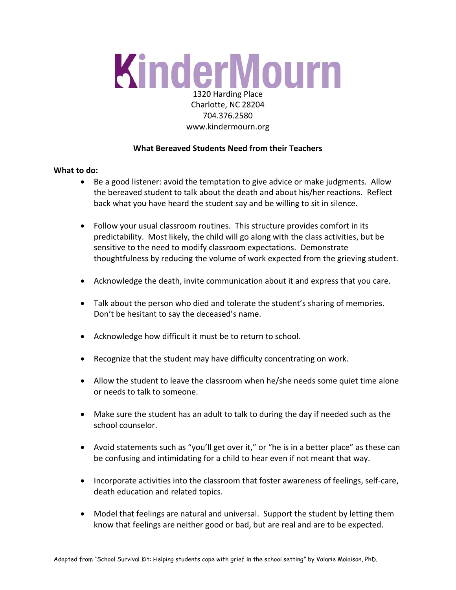# KinderMourn 1320 Harding Place

# Charlotte, NC 28204 704.376.2580 [www.kindermourn.org](http://www.kindermourn.org/)

## **What Bereaved Students Need from their Teachers**

### **What to do:**

- Be a good listener: avoid the temptation to give advice or make judgments. Allow the bereaved student to talk about the death and about his/her reactions. Reflect back what you have heard the student say and be willing to sit in silence.
- Follow your usual classroom routines. This structure provides comfort in its predictability. Most likely, the child will go along with the class activities, but be sensitive to the need to modify classroom expectations. Demonstrate thoughtfulness by reducing the volume of work expected from the grieving student.
- Acknowledge the death, invite communication about it and express that you care.
- Talk about the person who died and tolerate the student's sharing of memories. Don't be hesitant to say the deceased's name.
- Acknowledge how difficult it must be to return to school.
- Recognize that the student may have difficulty concentrating on work.
- Allow the student to leave the classroom when he/she needs some quiet time alone or needs to talk to someone.
- Make sure the student has an adult to talk to during the day if needed such as the school counselor.
- Avoid statements such as "you'll get over it," or "he is in a better place" as these can be confusing and intimidating for a child to hear even if not meant that way.
- Incorporate activities into the classroom that foster awareness of feelings, self-care, death education and related topics.
- Model that feelings are natural and universal. Support the student by letting them know that feelings are neither good or bad, but are real and are to be expected.